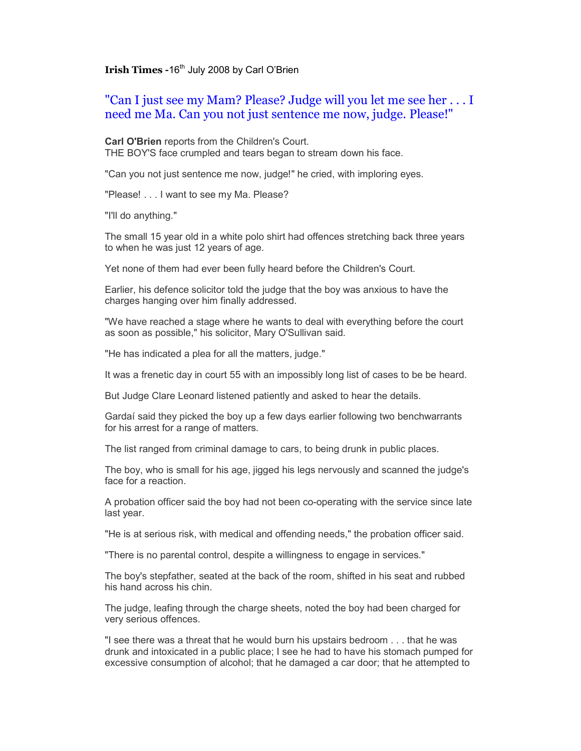**Irish Times -16<sup>th</sup> July 2008 by Carl O'Brien** 

"Can I just see my Mam? Please? Judge will you let me see her . . . I need me Ma. Can you not just sentence me now, judge. Please!"

**Carl O'Brien** reports from the Children's Court. THE BOY'S face crumpled and tears began to stream down his face.

"Can you not just sentence me now, judge!" he cried, with imploring eyes.

"Please! . . . I want to see my Ma. Please?

"I'll do anything."

The small 15 year old in a white polo shirt had offences stretching back three years to when he was just 12 years of age.

Yet none of them had ever been fully heard before the Children's Court.

Earlier, his defence solicitor told the judge that the boy was anxious to have the charges hanging over him finally addressed.

"We have reached a stage where he wants to deal with everything before the court as soon as possible," his solicitor, Mary O'Sullivan said.

"He has indicated a plea for all the matters, judge."

It was a frenetic day in court 55 with an impossibly long list of cases to be be heard.

But Judge Clare Leonard listened patiently and asked to hear the details.

Gardaí said they picked the boy up a few days earlier following two benchwarrants for his arrest for a range of matters.

The list ranged from criminal damage to cars, to being drunk in public places.

The boy, who is small for his age, jigged his legs nervously and scanned the judge's face for a reaction.

A probation officer said the boy had not been co-operating with the service since late last year.

"He is at serious risk, with medical and offending needs," the probation officer said.

"There is no parental control, despite a willingness to engage in services."

The boy's stepfather, seated at the back of the room, shifted in his seat and rubbed his hand across his chin.

The judge, leafing through the charge sheets, noted the boy had been charged for very serious offences.

"I see there was a threat that he would burn his upstairs bedroom . . . that he was drunk and intoxicated in a public place; I see he had to have his stomach pumped for excessive consumption of alcohol; that he damaged a car door; that he attempted to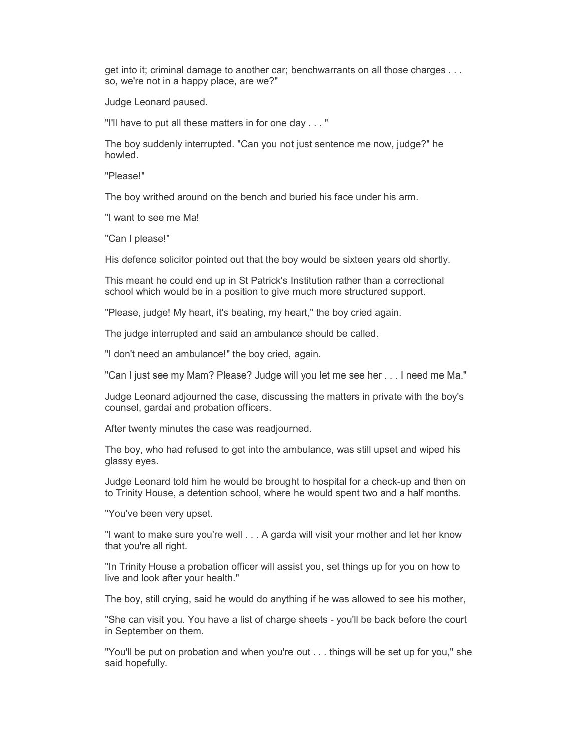get into it; criminal damage to another car; benchwarrants on all those charges . . . so, we're not in a happy place, are we?"

Judge Leonard paused.

"I'll have to put all these matters in for one day . . . "

The boy suddenly interrupted. "Can you not just sentence me now, judge?" he howled.

"Please!"

The boy writhed around on the bench and buried his face under his arm.

"I want to see me Ma!

"Can I please!"

His defence solicitor pointed out that the boy would be sixteen years old shortly.

This meant he could end up in St Patrick's Institution rather than a correctional school which would be in a position to give much more structured support.

"Please, judge! My heart, it's beating, my heart," the boy cried again.

The judge interrupted and said an ambulance should be called.

"I don't need an ambulance!" the boy cried, again.

"Can I just see my Mam? Please? Judge will you let me see her . . . I need me Ma."

Judge Leonard adjourned the case, discussing the matters in private with the boy's counsel, gardaí and probation officers.

After twenty minutes the case was readjourned.

The boy, who had refused to get into the ambulance, was still upset and wiped his glassy eyes.

Judge Leonard told him he would be brought to hospital for a check-up and then on to Trinity House, a detention school, where he would spent two and a half months.

"You've been very upset.

"I want to make sure you're well . . . A garda will visit your mother and let her know that you're all right.

"In Trinity House a probation officer will assist you, set things up for you on how to live and look after your health."

The boy, still crying, said he would do anything if he was allowed to see his mother,

"She can visit you. You have a list of charge sheets - you'll be back before the court in September on them.

"You'll be put on probation and when you're out . . . things will be set up for you," she said hopefully.